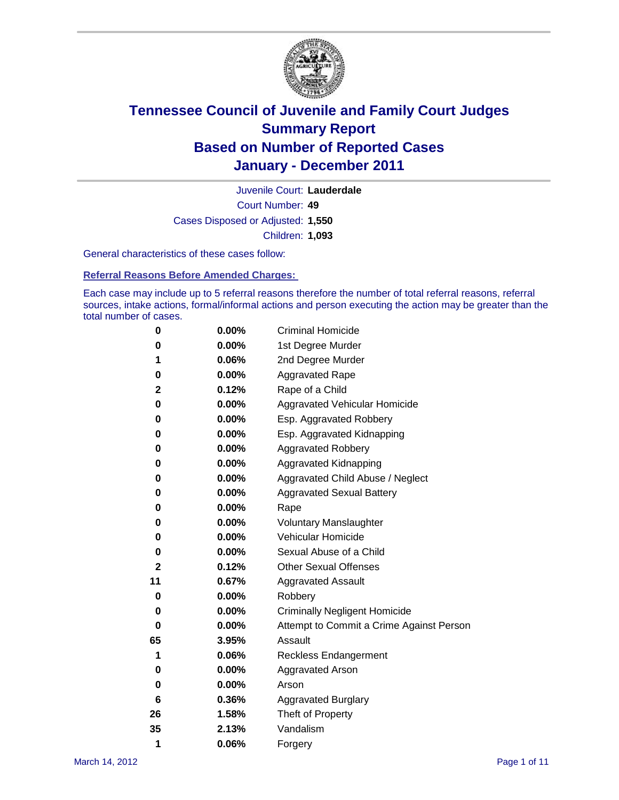

Court Number: **49** Juvenile Court: **Lauderdale** Cases Disposed or Adjusted: **1,550** Children: **1,093**

General characteristics of these cases follow:

**Referral Reasons Before Amended Charges:** 

Each case may include up to 5 referral reasons therefore the number of total referral reasons, referral sources, intake actions, formal/informal actions and person executing the action may be greater than the total number of cases.

| 0  | 0.00%    | <b>Criminal Homicide</b>                 |  |  |  |  |
|----|----------|------------------------------------------|--|--|--|--|
| 0  | 0.00%    | 1st Degree Murder                        |  |  |  |  |
| 1  | 0.06%    | 2nd Degree Murder                        |  |  |  |  |
| 0  | 0.00%    | <b>Aggravated Rape</b>                   |  |  |  |  |
| 2  | 0.12%    | Rape of a Child                          |  |  |  |  |
| 0  | 0.00%    | Aggravated Vehicular Homicide            |  |  |  |  |
| 0  | 0.00%    | Esp. Aggravated Robbery                  |  |  |  |  |
| 0  | 0.00%    | Esp. Aggravated Kidnapping               |  |  |  |  |
| 0  | 0.00%    | <b>Aggravated Robbery</b>                |  |  |  |  |
| 0  | 0.00%    | Aggravated Kidnapping                    |  |  |  |  |
| 0  | 0.00%    | Aggravated Child Abuse / Neglect         |  |  |  |  |
| 0  | $0.00\%$ | <b>Aggravated Sexual Battery</b>         |  |  |  |  |
| 0  | 0.00%    | Rape                                     |  |  |  |  |
| 0  | $0.00\%$ | <b>Voluntary Manslaughter</b>            |  |  |  |  |
| 0  | 0.00%    | Vehicular Homicide                       |  |  |  |  |
| 0  | 0.00%    | Sexual Abuse of a Child                  |  |  |  |  |
| 2  | 0.12%    | <b>Other Sexual Offenses</b>             |  |  |  |  |
| 11 | 0.67%    | <b>Aggravated Assault</b>                |  |  |  |  |
| 0  | $0.00\%$ | Robbery                                  |  |  |  |  |
| 0  | 0.00%    | <b>Criminally Negligent Homicide</b>     |  |  |  |  |
| 0  | 0.00%    | Attempt to Commit a Crime Against Person |  |  |  |  |
| 65 | 3.95%    | Assault                                  |  |  |  |  |
| 1  | 0.06%    | <b>Reckless Endangerment</b>             |  |  |  |  |
| 0  | 0.00%    | <b>Aggravated Arson</b>                  |  |  |  |  |
| 0  | 0.00%    | Arson                                    |  |  |  |  |
| 6  | 0.36%    | <b>Aggravated Burglary</b>               |  |  |  |  |
| 26 | 1.58%    | Theft of Property                        |  |  |  |  |
| 35 | 2.13%    | Vandalism                                |  |  |  |  |
| 1  | 0.06%    | Forgery                                  |  |  |  |  |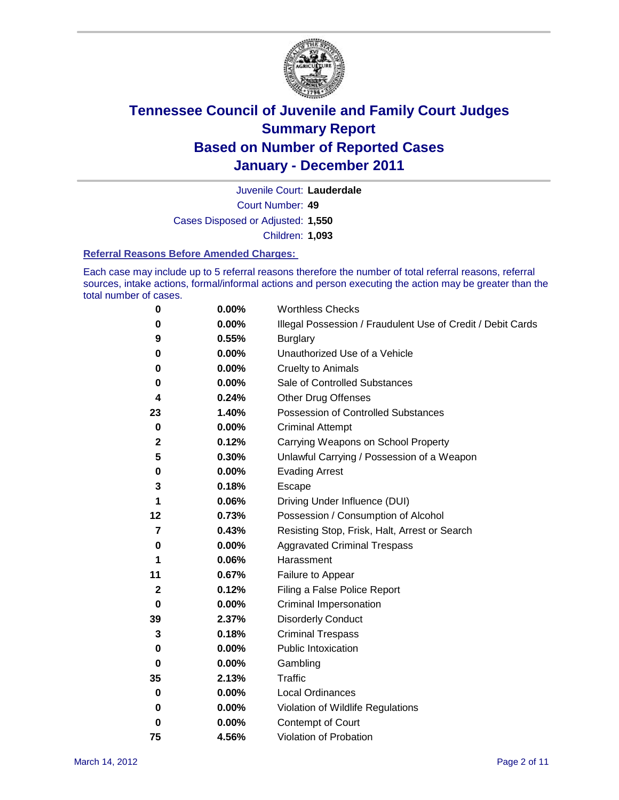

Court Number: **49** Juvenile Court: **Lauderdale** Cases Disposed or Adjusted: **1,550** Children: **1,093**

### **Referral Reasons Before Amended Charges:**

Each case may include up to 5 referral reasons therefore the number of total referral reasons, referral sources, intake actions, formal/informal actions and person executing the action may be greater than the total number of cases.

| 0           | 0.00% | <b>Worthless Checks</b>                                     |
|-------------|-------|-------------------------------------------------------------|
| 0           | 0.00% | Illegal Possession / Fraudulent Use of Credit / Debit Cards |
| 9           | 0.55% | <b>Burglary</b>                                             |
| 0           | 0.00% | Unauthorized Use of a Vehicle                               |
| 0           | 0.00% | <b>Cruelty to Animals</b>                                   |
| 0           | 0.00% | Sale of Controlled Substances                               |
| 4           | 0.24% | <b>Other Drug Offenses</b>                                  |
| 23          | 1.40% | Possession of Controlled Substances                         |
| $\bf{0}$    | 0.00% | <b>Criminal Attempt</b>                                     |
| 2           | 0.12% | Carrying Weapons on School Property                         |
| 5           | 0.30% | Unlawful Carrying / Possession of a Weapon                  |
| 0           | 0.00% | <b>Evading Arrest</b>                                       |
| 3           | 0.18% | Escape                                                      |
| 1           | 0.06% | Driving Under Influence (DUI)                               |
| 12          | 0.73% | Possession / Consumption of Alcohol                         |
| 7           | 0.43% | Resisting Stop, Frisk, Halt, Arrest or Search               |
| 0           | 0.00% | <b>Aggravated Criminal Trespass</b>                         |
| 1           | 0.06% | Harassment                                                  |
| 11          | 0.67% | Failure to Appear                                           |
| 2           | 0.12% | Filing a False Police Report                                |
| 0           | 0.00% | Criminal Impersonation                                      |
| 39          | 2.37% | <b>Disorderly Conduct</b>                                   |
| 3           | 0.18% | <b>Criminal Trespass</b>                                    |
| 0           | 0.00% | <b>Public Intoxication</b>                                  |
| 0           | 0.00% | Gambling                                                    |
| 35          | 2.13% | Traffic                                                     |
| 0           | 0.00% | <b>Local Ordinances</b>                                     |
| $\mathbf 0$ | 0.00% | Violation of Wildlife Regulations                           |
| 0           | 0.00% | Contempt of Court                                           |
| 75          | 4.56% | Violation of Probation                                      |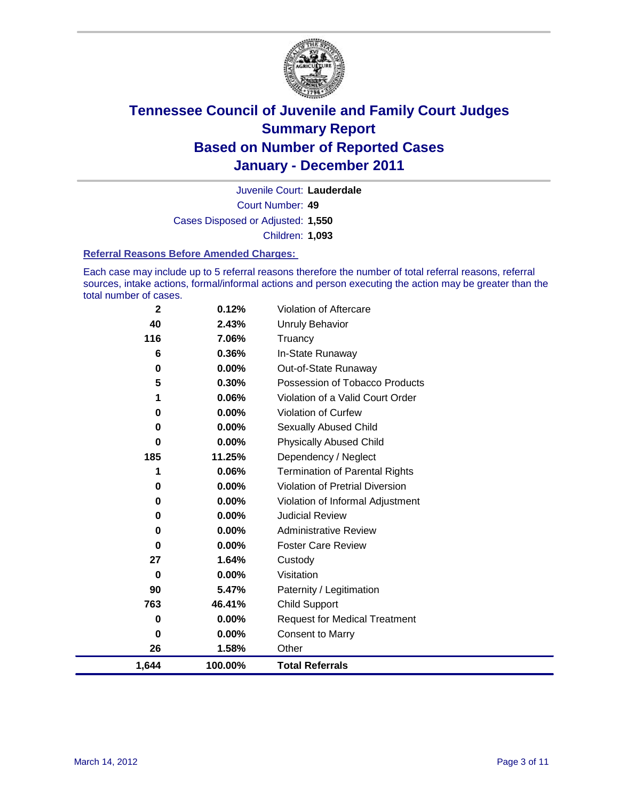

Court Number: **49** Juvenile Court: **Lauderdale** Cases Disposed or Adjusted: **1,550** Children: **1,093**

### **Referral Reasons Before Amended Charges:**

Each case may include up to 5 referral reasons therefore the number of total referral reasons, referral sources, intake actions, formal/informal actions and person executing the action may be greater than the total number of cases.

| $\mathbf{2}$ | 0.12%    | Violation of Aftercare                 |
|--------------|----------|----------------------------------------|
| 40           | 2.43%    | Unruly Behavior                        |
| 116          | 7.06%    | Truancy                                |
| 6            | 0.36%    | In-State Runaway                       |
| 0            | $0.00\%$ | Out-of-State Runaway                   |
| 5            | 0.30%    | Possession of Tobacco Products         |
| 1            | 0.06%    | Violation of a Valid Court Order       |
| 0            | $0.00\%$ | Violation of Curfew                    |
| 0            | $0.00\%$ | Sexually Abused Child                  |
| $\bf{0}$     | 0.00%    | <b>Physically Abused Child</b>         |
| 185          | 11.25%   | Dependency / Neglect                   |
| 1            | 0.06%    | <b>Termination of Parental Rights</b>  |
| 0            | 0.00%    | <b>Violation of Pretrial Diversion</b> |
| 0            | 0.00%    | Violation of Informal Adjustment       |
| 0            | $0.00\%$ | <b>Judicial Review</b>                 |
| 0            | $0.00\%$ | <b>Administrative Review</b>           |
| 0            | 0.00%    | <b>Foster Care Review</b>              |
| 27           | 1.64%    | Custody                                |
| 0            | $0.00\%$ | Visitation                             |
| 90           | 5.47%    | Paternity / Legitimation               |
| 763          | 46.41%   | Child Support                          |
| 0            | 0.00%    | <b>Request for Medical Treatment</b>   |
| 0            | 0.00%    | <b>Consent to Marry</b>                |
| 26           | 1.58%    | Other                                  |
| 1,644        | 100.00%  | <b>Total Referrals</b>                 |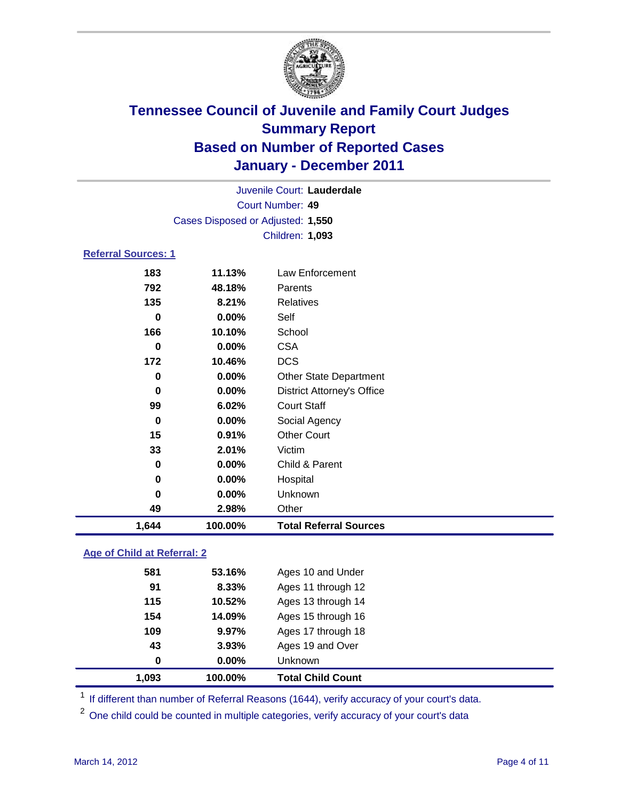

| Juvenile Court: Lauderdale |                                   |                                   |  |  |
|----------------------------|-----------------------------------|-----------------------------------|--|--|
|                            | <b>Court Number: 49</b>           |                                   |  |  |
|                            | Cases Disposed or Adjusted: 1,550 |                                   |  |  |
|                            | Children: 1,093                   |                                   |  |  |
| <b>Referral Sources: 1</b> |                                   |                                   |  |  |
| 183                        | 11.13%                            | Law Enforcement                   |  |  |
| 792                        | 48.18%                            | Parents                           |  |  |
| 135                        | 8.21%                             | Relatives                         |  |  |
| 0                          | 0.00%                             | Self                              |  |  |
| 166                        | 10.10%                            | School                            |  |  |
| 0                          | 0.00%                             | <b>CSA</b>                        |  |  |
| 172                        | 10.46%                            | <b>DCS</b>                        |  |  |
| $\bf{0}$                   | 0.00%                             | <b>Other State Department</b>     |  |  |
| 0                          | 0.00%                             | <b>District Attorney's Office</b> |  |  |
| 99                         | 6.02%                             | <b>Court Staff</b>                |  |  |
| $\bf{0}$                   | 0.00%                             | Social Agency                     |  |  |
| 15                         | 0.91%                             | <b>Other Court</b>                |  |  |
| 33                         | 2.01%                             | Victim                            |  |  |
| $\bf{0}$                   | 0.00%                             | Child & Parent                    |  |  |
| 0                          | 0.00%                             | Hospital                          |  |  |
| $\bf{0}$                   | 0.00%                             | Unknown                           |  |  |
| 49                         | 2.98%                             | Other                             |  |  |
| 1,644                      | 100.00%                           | <b>Total Referral Sources</b>     |  |  |

### **Age of Child at Referral: 2**

| 1,093    | 100.00% | <b>Total Child Count</b> |
|----------|---------|--------------------------|
| $\bf{0}$ | 0.00%   | <b>Unknown</b>           |
| 43       | 3.93%   | Ages 19 and Over         |
| 109      | 9.97%   | Ages 17 through 18       |
| 154      | 14.09%  | Ages 15 through 16       |
| 115      | 10.52%  | Ages 13 through 14       |
| 91       | 8.33%   | Ages 11 through 12       |
| 581      | 53.16%  | Ages 10 and Under        |
|          |         |                          |

<sup>1</sup> If different than number of Referral Reasons (1644), verify accuracy of your court's data.

<sup>2</sup> One child could be counted in multiple categories, verify accuracy of your court's data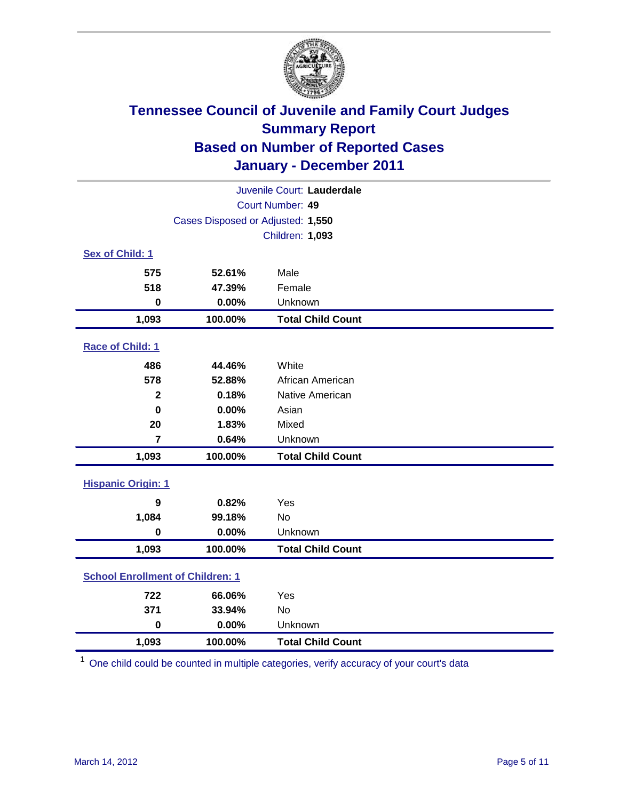

| Juvenile Court: Lauderdale              |                                   |                          |  |  |  |
|-----------------------------------------|-----------------------------------|--------------------------|--|--|--|
|                                         | Court Number: 49                  |                          |  |  |  |
|                                         | Cases Disposed or Adjusted: 1,550 |                          |  |  |  |
|                                         |                                   | Children: 1,093          |  |  |  |
| Sex of Child: 1                         |                                   |                          |  |  |  |
| 575                                     | 52.61%                            | Male                     |  |  |  |
| 518                                     | 47.39%                            | Female                   |  |  |  |
| $\mathbf 0$                             | 0.00%                             | Unknown                  |  |  |  |
| 1,093                                   | 100.00%                           | <b>Total Child Count</b> |  |  |  |
| Race of Child: 1                        |                                   |                          |  |  |  |
| 486                                     | 44.46%                            | White                    |  |  |  |
| 578                                     | 52.88%                            | African American         |  |  |  |
| $\mathbf{2}$                            | 0.18%                             | Native American          |  |  |  |
| $\mathbf 0$                             | 0.00%                             | Asian                    |  |  |  |
| 20                                      | 1.83%                             | Mixed                    |  |  |  |
| $\overline{7}$                          | 0.64%                             | Unknown                  |  |  |  |
| 1,093                                   | 100.00%                           | <b>Total Child Count</b> |  |  |  |
| <b>Hispanic Origin: 1</b>               |                                   |                          |  |  |  |
| 9                                       | 0.82%                             | Yes                      |  |  |  |
| 1,084                                   | 99.18%                            | <b>No</b>                |  |  |  |
| $\mathbf 0$                             | 0.00%                             | Unknown                  |  |  |  |
| 1,093                                   | 100.00%                           | <b>Total Child Count</b> |  |  |  |
| <b>School Enrollment of Children: 1</b> |                                   |                          |  |  |  |
| 722                                     | 66.06%                            | Yes                      |  |  |  |
| 371                                     | 33.94%                            | No                       |  |  |  |
| $\mathbf 0$                             | 0.00%                             | Unknown                  |  |  |  |
| 1,093                                   | 100.00%                           | <b>Total Child Count</b> |  |  |  |

<sup>1</sup> One child could be counted in multiple categories, verify accuracy of your court's data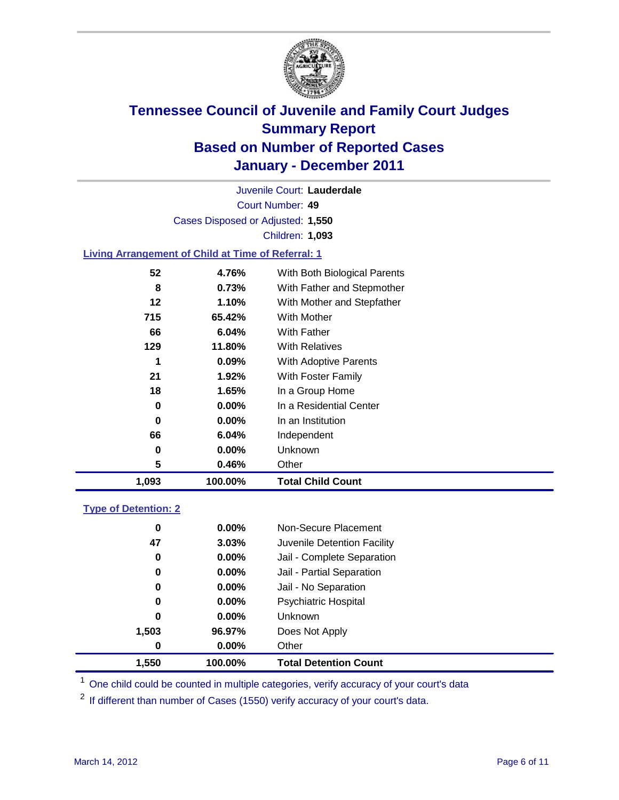

Court Number: **49** Juvenile Court: **Lauderdale** Cases Disposed or Adjusted: **1,550** Children: **1,093**

### **Living Arrangement of Child at Time of Referral: 1**

| 1,093 | 100.00%  | <b>Total Child Count</b>     |
|-------|----------|------------------------------|
| 5     | 0.46%    | Other                        |
| 0     | $0.00\%$ | <b>Unknown</b>               |
| 66    | 6.04%    | Independent                  |
| 0     | $0.00\%$ | In an Institution            |
| 0     | $0.00\%$ | In a Residential Center      |
| 18    | 1.65%    | In a Group Home              |
| 21    | 1.92%    | With Foster Family           |
| 1     | $0.09\%$ | With Adoptive Parents        |
| 129   | 11.80%   | <b>With Relatives</b>        |
| 66    | 6.04%    | With Father                  |
| 715   | 65.42%   | <b>With Mother</b>           |
| 12    | 1.10%    | With Mother and Stepfather   |
| 8     | 0.73%    | With Father and Stepmother   |
| 52    | 4.76%    | With Both Biological Parents |
|       |          |                              |

### **Type of Detention: 2**

| 1,550 | 100.00%  | <b>Total Detention Count</b> |  |
|-------|----------|------------------------------|--|
| 0     | $0.00\%$ | Other                        |  |
| 1,503 | 96.97%   | Does Not Apply               |  |
| 0     | $0.00\%$ | Unknown                      |  |
| 0     | $0.00\%$ | <b>Psychiatric Hospital</b>  |  |
| 0     | 0.00%    | Jail - No Separation         |  |
| 0     | $0.00\%$ | Jail - Partial Separation    |  |
| 0     | 0.00%    | Jail - Complete Separation   |  |
| 47    | 3.03%    | Juvenile Detention Facility  |  |
| 0     | $0.00\%$ | Non-Secure Placement         |  |
|       |          |                              |  |

<sup>1</sup> One child could be counted in multiple categories, verify accuracy of your court's data

<sup>2</sup> If different than number of Cases (1550) verify accuracy of your court's data.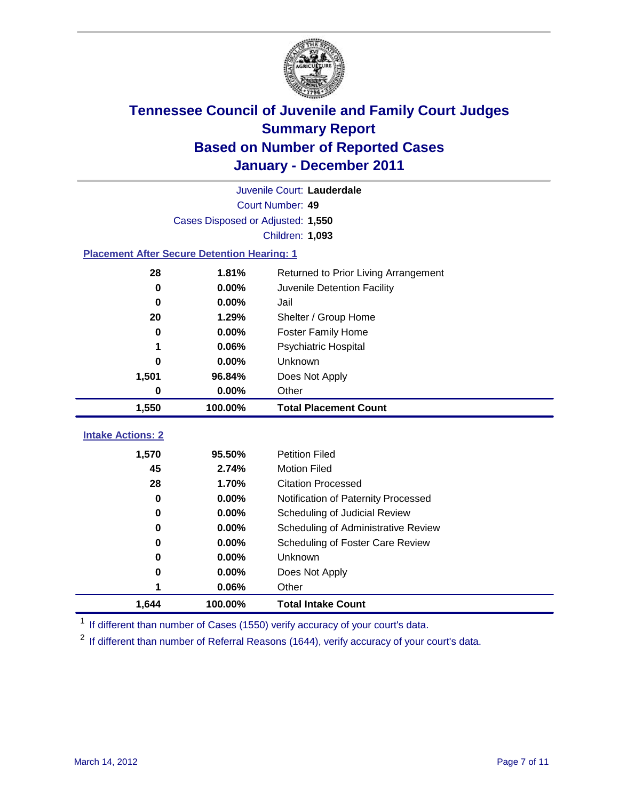

|                                                    | Juvenile Court: Lauderdale        |                                      |  |  |
|----------------------------------------------------|-----------------------------------|--------------------------------------|--|--|
| Court Number: 49                                   |                                   |                                      |  |  |
|                                                    | Cases Disposed or Adjusted: 1,550 |                                      |  |  |
|                                                    |                                   | Children: 1,093                      |  |  |
| <b>Placement After Secure Detention Hearing: 1</b> |                                   |                                      |  |  |
| 28                                                 | 1.81%                             | Returned to Prior Living Arrangement |  |  |
| $\bf{0}$                                           | 0.00%                             | Juvenile Detention Facility          |  |  |
| $\bf{0}$                                           | 0.00%                             | Jail                                 |  |  |
| 20                                                 | 1.29%                             | Shelter / Group Home                 |  |  |
| 0                                                  | 0.00%                             | Foster Family Home                   |  |  |
| 1                                                  | 0.06%                             | Psychiatric Hospital                 |  |  |
| 0                                                  | 0.00%                             | Unknown                              |  |  |
| 1,501                                              | 96.84%                            | Does Not Apply                       |  |  |
| 0                                                  | 0.00%                             | Other                                |  |  |
| 1,550                                              | 100.00%                           | <b>Total Placement Count</b>         |  |  |
| <b>Intake Actions: 2</b>                           |                                   |                                      |  |  |
| 1,570                                              | 95.50%                            | <b>Petition Filed</b>                |  |  |
| 45                                                 | 2.74%                             | <b>Motion Filed</b>                  |  |  |
| 28                                                 | 1.70%                             | <b>Citation Processed</b>            |  |  |
| 0                                                  | 0.00%                             | Notification of Paternity Processed  |  |  |
| $\bf{0}$                                           | 0.00%                             | Scheduling of Judicial Review        |  |  |
| 0                                                  | 0.00%                             | Scheduling of Administrative Review  |  |  |
| 0                                                  | 0.00%                             | Scheduling of Foster Care Review     |  |  |
| 0                                                  | 0.00%                             | Unknown                              |  |  |
| 0                                                  | 0.00%                             | Does Not Apply                       |  |  |
| 1                                                  | 0.06%                             | Other                                |  |  |
| 1,644                                              |                                   |                                      |  |  |

<sup>1</sup> If different than number of Cases (1550) verify accuracy of your court's data.

<sup>2</sup> If different than number of Referral Reasons (1644), verify accuracy of your court's data.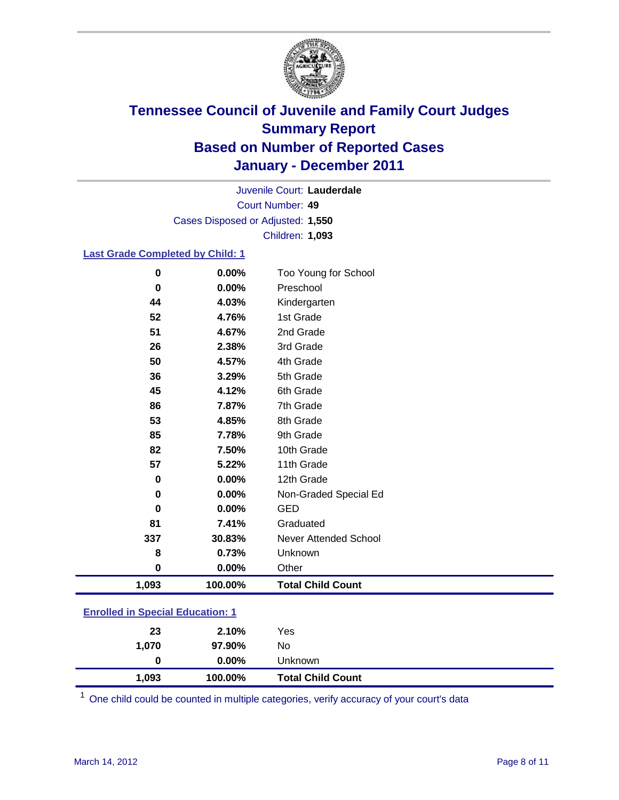

Court Number: **49** Juvenile Court: **Lauderdale** Cases Disposed or Adjusted: **1,550** Children: **1,093**

### **Last Grade Completed by Child: 1**

| 0                                       | 0.00%   | Too Young for School         |
|-----------------------------------------|---------|------------------------------|
| 0                                       | 0.00%   | Preschool                    |
| 44                                      | 4.03%   | Kindergarten                 |
| 52                                      | 4.76%   | 1st Grade                    |
| 51                                      | 4.67%   | 2nd Grade                    |
| 26                                      | 2.38%   | 3rd Grade                    |
| 50                                      | 4.57%   | 4th Grade                    |
| 36                                      | 3.29%   | 5th Grade                    |
| 45                                      | 4.12%   | 6th Grade                    |
| 86                                      | 7.87%   | 7th Grade                    |
| 53                                      | 4.85%   | 8th Grade                    |
| 85                                      | 7.78%   | 9th Grade                    |
| 82                                      | 7.50%   | 10th Grade                   |
| 57                                      | 5.22%   | 11th Grade                   |
| $\pmb{0}$                               | 0.00%   | 12th Grade                   |
| 0                                       | 0.00%   | Non-Graded Special Ed        |
| 0                                       | 0.00%   | <b>GED</b>                   |
| 81                                      | 7.41%   | Graduated                    |
| 337                                     | 30.83%  | <b>Never Attended School</b> |
| 8                                       | 0.73%   | Unknown                      |
| $\mathbf 0$                             | 0.00%   | Other                        |
| 1,093                                   | 100.00% | <b>Total Child Count</b>     |
| <b>Enrolled in Special Education: 1</b> |         |                              |

| 1,093                                     | 100.00%  | <b>Total Child Count</b> |  |
|-------------------------------------------|----------|--------------------------|--|
| 0                                         | $0.00\%$ | Unknown                  |  |
| 1.070                                     | 97.90%   | No                       |  |
| 23                                        | 2.10%    | Yes                      |  |
| <u>Einvilled III Opeelal Education. T</u> |          |                          |  |

One child could be counted in multiple categories, verify accuracy of your court's data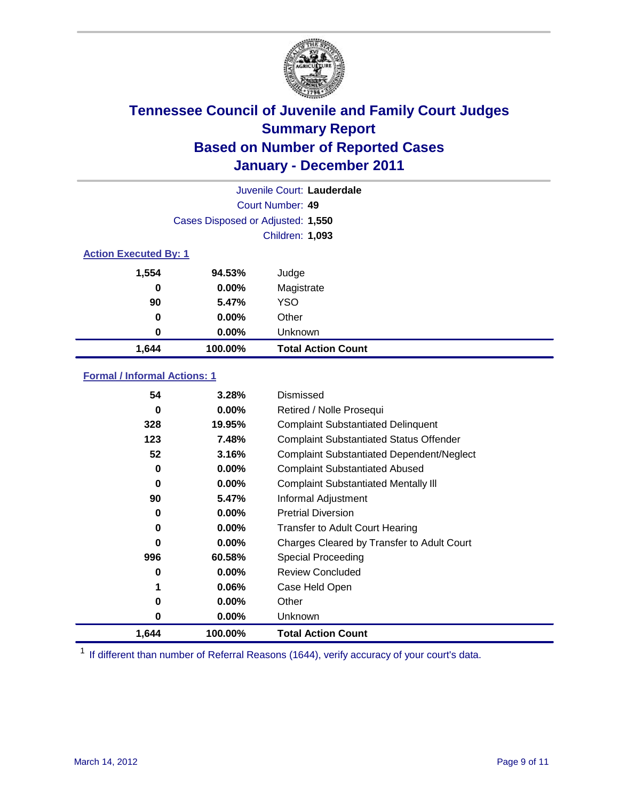

|                              | Juvenile Court: Lauderdale        |                           |  |  |
|------------------------------|-----------------------------------|---------------------------|--|--|
|                              | Court Number: 49                  |                           |  |  |
|                              | Cases Disposed or Adjusted: 1,550 |                           |  |  |
|                              | Children: 1,093                   |                           |  |  |
| <b>Action Executed By: 1</b> |                                   |                           |  |  |
| 1,554                        | 94.53%                            | Judge                     |  |  |
| $\bf{0}$                     | $0.00\%$                          | Magistrate                |  |  |
| 90                           | 5.47%                             | <b>YSO</b>                |  |  |
| 0                            | $0.00\%$                          | Other                     |  |  |
| 0                            | 0.00%                             | Unknown                   |  |  |
| 1,644                        | 100.00%                           | <b>Total Action Count</b> |  |  |

### **Formal / Informal Actions: 1**

| 54    | 3.28%    | Dismissed                                        |
|-------|----------|--------------------------------------------------|
| 0     | $0.00\%$ | Retired / Nolle Prosequi                         |
| 328   | 19.95%   | <b>Complaint Substantiated Delinquent</b>        |
| 123   | 7.48%    | <b>Complaint Substantiated Status Offender</b>   |
| 52    | 3.16%    | <b>Complaint Substantiated Dependent/Neglect</b> |
| 0     | $0.00\%$ | <b>Complaint Substantiated Abused</b>            |
| 0     | $0.00\%$ | <b>Complaint Substantiated Mentally III</b>      |
| 90    | 5.47%    | Informal Adjustment                              |
| 0     | $0.00\%$ | <b>Pretrial Diversion</b>                        |
| 0     | $0.00\%$ | <b>Transfer to Adult Court Hearing</b>           |
| 0     | $0.00\%$ | Charges Cleared by Transfer to Adult Court       |
| 996   | 60.58%   | Special Proceeding                               |
| 0     | $0.00\%$ | <b>Review Concluded</b>                          |
| 1     | $0.06\%$ | Case Held Open                                   |
| 0     | $0.00\%$ | Other                                            |
| 0     | $0.00\%$ | <b>Unknown</b>                                   |
| 1,644 | 100.00%  | <b>Total Action Count</b>                        |

<sup>1</sup> If different than number of Referral Reasons (1644), verify accuracy of your court's data.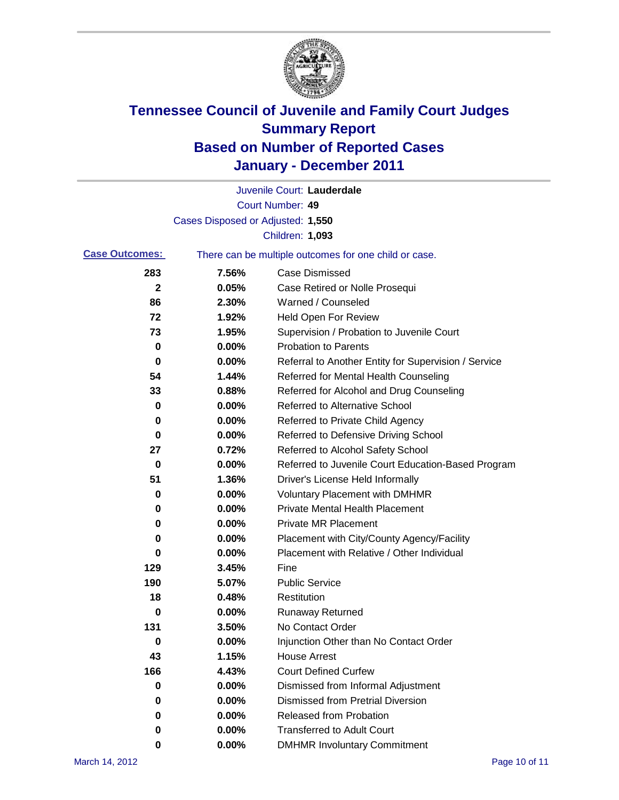

|                       |                                   | Juvenile Court: Lauderdale                            |
|-----------------------|-----------------------------------|-------------------------------------------------------|
|                       |                                   | Court Number: 49                                      |
|                       | Cases Disposed or Adjusted: 1,550 |                                                       |
|                       |                                   | Children: 1,093                                       |
| <b>Case Outcomes:</b> |                                   | There can be multiple outcomes for one child or case. |
| 283                   | 7.56%                             | <b>Case Dismissed</b>                                 |
| 2                     | 0.05%                             | Case Retired or Nolle Prosequi                        |
| 86                    | 2.30%                             | Warned / Counseled                                    |
| 72                    | 1.92%                             | <b>Held Open For Review</b>                           |
| 73                    | 1.95%                             | Supervision / Probation to Juvenile Court             |
| 0                     | 0.00%                             | <b>Probation to Parents</b>                           |
| 0                     | 0.00%                             | Referral to Another Entity for Supervision / Service  |
| 54                    | 1.44%                             | Referred for Mental Health Counseling                 |
| 33                    | 0.88%                             | Referred for Alcohol and Drug Counseling              |
| 0                     | 0.00%                             | Referred to Alternative School                        |
| 0                     | 0.00%                             | Referred to Private Child Agency                      |
| 0                     | 0.00%                             | Referred to Defensive Driving School                  |
| 27                    | 0.72%                             | Referred to Alcohol Safety School                     |
| 0                     | 0.00%                             | Referred to Juvenile Court Education-Based Program    |
| 51                    | 1.36%                             | Driver's License Held Informally                      |
| 0                     | 0.00%                             | <b>Voluntary Placement with DMHMR</b>                 |
| 0                     | 0.00%                             | <b>Private Mental Health Placement</b>                |
| 0                     | 0.00%                             | <b>Private MR Placement</b>                           |
| 0                     | 0.00%                             | Placement with City/County Agency/Facility            |
| 0                     | 0.00%                             | Placement with Relative / Other Individual            |
| 129                   | 3.45%                             | Fine                                                  |
| 190                   | 5.07%                             | <b>Public Service</b>                                 |
| 18                    | 0.48%                             | Restitution                                           |
| 0                     | 0.00%                             | <b>Runaway Returned</b>                               |
| 131                   | 3.50%                             | No Contact Order                                      |
| 0                     | $0.00\%$                          | Injunction Other than No Contact Order                |
| 43                    | 1.15%                             | <b>House Arrest</b>                                   |
| 166                   | 4.43%                             | <b>Court Defined Curfew</b>                           |
| 0                     | 0.00%                             | Dismissed from Informal Adjustment                    |
| 0                     | 0.00%                             | <b>Dismissed from Pretrial Diversion</b>              |
| 0                     | 0.00%                             | <b>Released from Probation</b>                        |
| 0                     | 0.00%                             | <b>Transferred to Adult Court</b>                     |
| 0                     | $0.00\%$                          | <b>DMHMR Involuntary Commitment</b>                   |